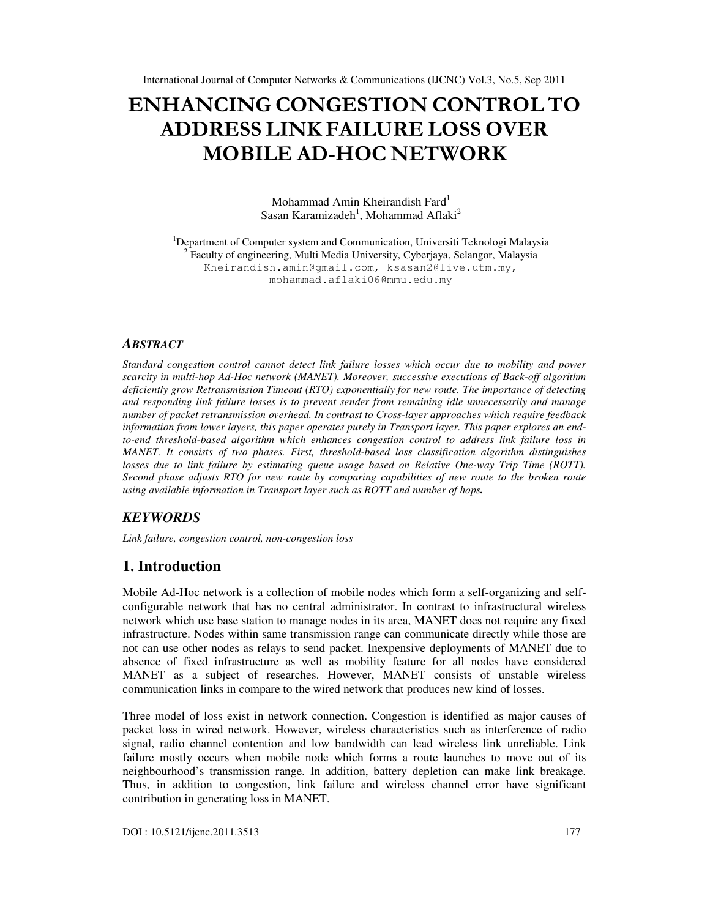# ENHANCING CONGESTION CONTROL TO ADDRESS LINK FAILURE LOSS OVER MOBILE AD-HOC NETWORK

Mohammad Amin Kheirandish Fard<sup>1</sup> Sasan Karamizadeh<sup>1</sup>, Mohammad Aflaki<sup>2</sup>

<sup>1</sup>Department of Computer system and Communication, Universiti Teknologi Malaysia 2 Faculty of engineering, Multi Media University, Cyberjaya, Selangor, Malaysia Kheirandish.amin@gmail.com, ksasan2@live.utm.my, mohammad.aflaki06@mmu.edu.my

#### *ABSTRACT*

*Standard congestion control cannot detect link failure losses which occur due to mobility and power scarcity in multi-hop Ad-Hoc network (MANET). Moreover, successive executions of Back-off algorithm deficiently grow Retransmission Timeout (RTO) exponentially for new route. The importance of detecting and responding link failure losses is to prevent sender from remaining idle unnecessarily and manage number of packet retransmission overhead. In contrast to Cross-layer approaches which require feedback information from lower layers, this paper operates purely in Transport layer. This paper explores an endto-end threshold-based algorithm which enhances congestion control to address link failure loss in MANET. It consists of two phases. First, threshold-based loss classification algorithm distinguishes*  losses due to link failure by estimating queue usage based on Relative One-way Trip Time (ROTT). *Second phase adjusts RTO for new route by comparing capabilities of new route to the broken route using available information in Transport layer such as ROTT and number of hops.* 

# *KEYWORDS*

*Link failure, congestion control, non-congestion loss*

# **1. Introduction**

Mobile Ad-Hoc network is a collection of mobile nodes which form a self-organizing and selfconfigurable network that has no central administrator. In contrast to infrastructural wireless network which use base station to manage nodes in its area, MANET does not require any fixed infrastructure. Nodes within same transmission range can communicate directly while those are not can use other nodes as relays to send packet. Inexpensive deployments of MANET due to absence of fixed infrastructure as well as mobility feature for all nodes have considered MANET as a subject of researches. However, MANET consists of unstable wireless communication links in compare to the wired network that produces new kind of losses.

Three model of loss exist in network connection. Congestion is identified as major causes of packet loss in wired network. However, wireless characteristics such as interference of radio signal, radio channel contention and low bandwidth can lead wireless link unreliable. Link failure mostly occurs when mobile node which forms a route launches to move out of its neighbourhood's transmission range. In addition, battery depletion can make link breakage. Thus, in addition to congestion, link failure and wireless channel error have significant contribution in generating loss in MANET.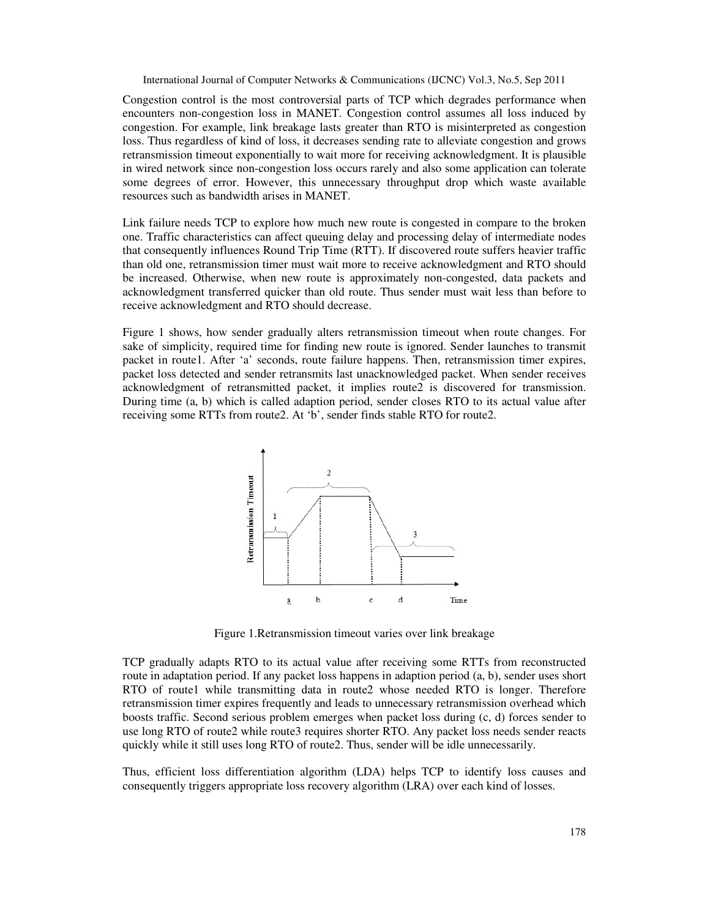Congestion control is the most controversial parts of TCP which degrades performance when encounters non-congestion loss in MANET. Congestion control assumes all loss induced by congestion. For example, link breakage lasts greater than RTO is misinterpreted as congestion loss. Thus regardless of kind of loss, it decreases sending rate to alleviate congestion and grows retransmission timeout exponentially to wait more for receiving acknowledgment. It is plausible in wired network since non-congestion loss occurs rarely and also some application can tolerate some degrees of error. However, this unnecessary throughput drop which waste available resources such as bandwidth arises in MANET.

Link failure needs TCP to explore how much new route is congested in compare to the broken one. Traffic characteristics can affect queuing delay and processing delay of intermediate nodes that consequently influences Round Trip Time (RTT). If discovered route suffers heavier traffic than old one, retransmission timer must wait more to receive acknowledgment and RTO should be increased. Otherwise, when new route is approximately non-congested, data packets and acknowledgment transferred quicker than old route. Thus sender must wait less than before to receive acknowledgment and RTO should decrease.

Figure 1 shows, how sender gradually alters retransmission timeout when route changes. For sake of simplicity, required time for finding new route is ignored. Sender launches to transmit packet in route1. After 'a' seconds, route failure happens. Then, retransmission timer expires, packet loss detected and sender retransmits last unacknowledged packet. When sender receives acknowledgment of retransmitted packet, it implies route2 is discovered for transmission. During time (a, b) which is called adaption period, sender closes RTO to its actual value after receiving some RTTs from route2. At 'b', sender finds stable RTO for route2.



Figure 1.Retransmission timeout varies over link breakage

TCP gradually adapts RTO to its actual value after receiving some RTTs from reconstructed route in adaptation period. If any packet loss happens in adaption period (a, b), sender uses short RTO of route1 while transmitting data in route2 whose needed RTO is longer. Therefore retransmission timer expires frequently and leads to unnecessary retransmission overhead which boosts traffic. Second serious problem emerges when packet loss during (c, d) forces sender to use long RTO of route2 while route3 requires shorter RTO. Any packet loss needs sender reacts quickly while it still uses long RTO of route2. Thus, sender will be idle unnecessarily.

Thus, efficient loss differentiation algorithm (LDA) helps TCP to identify loss causes and consequently triggers appropriate loss recovery algorithm (LRA) over each kind of losses.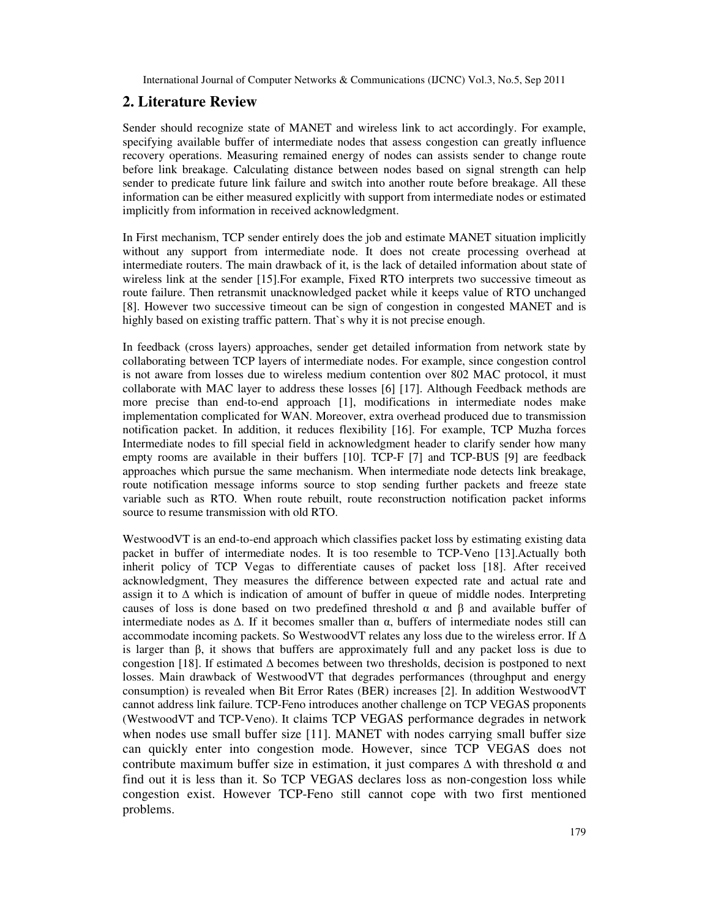# **2. Literature Review**

Sender should recognize state of MANET and wireless link to act accordingly. For example, specifying available buffer of intermediate nodes that assess congestion can greatly influence recovery operations. Measuring remained energy of nodes can assists sender to change route before link breakage. Calculating distance between nodes based on signal strength can help sender to predicate future link failure and switch into another route before breakage. All these information can be either measured explicitly with support from intermediate nodes or estimated implicitly from information in received acknowledgment.

In First mechanism, TCP sender entirely does the job and estimate MANET situation implicitly without any support from intermediate node. It does not create processing overhead at intermediate routers. The main drawback of it, is the lack of detailed information about state of wireless link at the sender [15].For example, Fixed RTO interprets two successive timeout as route failure. Then retransmit unacknowledged packet while it keeps value of RTO unchanged [8]. However two successive timeout can be sign of congestion in congested MANET and is highly based on existing traffic pattern. That`s why it is not precise enough.

In feedback (cross layers) approaches, sender get detailed information from network state by collaborating between TCP layers of intermediate nodes. For example, since congestion control is not aware from losses due to wireless medium contention over 802 MAC protocol, it must collaborate with MAC layer to address these losses [6] [17]. Although Feedback methods are more precise than end-to-end approach [1], modifications in intermediate nodes make implementation complicated for WAN. Moreover, extra overhead produced due to transmission notification packet. In addition, it reduces flexibility [16]. For example, TCP Muzha forces Intermediate nodes to fill special field in acknowledgment header to clarify sender how many empty rooms are available in their buffers [10]. TCP-F [7] and TCP-BUS [9] are feedback approaches which pursue the same mechanism. When intermediate node detects link breakage, route notification message informs source to stop sending further packets and freeze state variable such as RTO. When route rebuilt, route reconstruction notification packet informs source to resume transmission with old RTO.

WestwoodVT is an end-to-end approach which classifies packet loss by estimating existing data packet in buffer of intermediate nodes. It is too resemble to TCP-Veno [13].Actually both inherit policy of TCP Vegas to differentiate causes of packet loss [18]. After received acknowledgment, They measures the difference between expected rate and actual rate and assign it to ∆ which is indication of amount of buffer in queue of middle nodes. Interpreting causes of loss is done based on two predefined threshold  $\alpha$  and  $\beta$  and available buffer of intermediate nodes as ∆. If it becomes smaller than α, buffers of intermediate nodes still can accommodate incoming packets. So WestwoodVT relates any loss due to the wireless error. If ∆ is larger than β, it shows that buffers are approximately full and any packet loss is due to congestion [18]. If estimated ∆ becomes between two thresholds, decision is postponed to next losses. Main drawback of WestwoodVT that degrades performances (throughput and energy consumption) is revealed when Bit Error Rates (BER) increases [2]. In addition WestwoodVT cannot address link failure. TCP-Feno introduces another challenge on TCP VEGAS proponents (WestwoodVT and TCP-Veno). It claims TCP VEGAS performance degrades in network when nodes use small buffer size [11]. MANET with nodes carrying small buffer size can quickly enter into congestion mode. However, since TCP VEGAS does not contribute maximum buffer size in estimation, it just compares  $\Delta$  with threshold  $\alpha$  and find out it is less than it. So TCP VEGAS declares loss as non-congestion loss while congestion exist. However TCP-Feno still cannot cope with two first mentioned problems.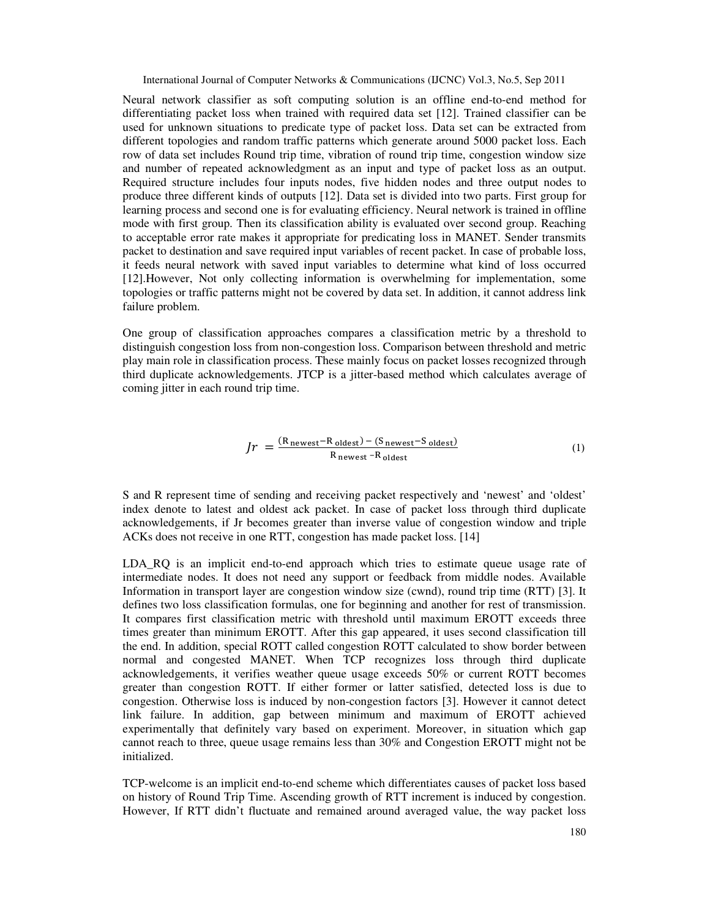Neural network classifier as soft computing solution is an offline end-to-end method for differentiating packet loss when trained with required data set [12]. Trained classifier can be used for unknown situations to predicate type of packet loss. Data set can be extracted from different topologies and random traffic patterns which generate around 5000 packet loss. Each row of data set includes Round trip time, vibration of round trip time, congestion window size and number of repeated acknowledgment as an input and type of packet loss as an output. Required structure includes four inputs nodes, five hidden nodes and three output nodes to produce three different kinds of outputs [12]. Data set is divided into two parts. First group for learning process and second one is for evaluating efficiency. Neural network is trained in offline mode with first group. Then its classification ability is evaluated over second group. Reaching to acceptable error rate makes it appropriate for predicating loss in MANET. Sender transmits packet to destination and save required input variables of recent packet. In case of probable loss, it feeds neural network with saved input variables to determine what kind of loss occurred [12].However, Not only collecting information is overwhelming for implementation, some topologies or traffic patterns might not be covered by data set. In addition, it cannot address link failure problem.

One group of classification approaches compares a classification metric by a threshold to distinguish congestion loss from non-congestion loss. Comparison between threshold and metric play main role in classification process. These mainly focus on packet losses recognized through third duplicate acknowledgements. JTCP is a jitter-based method which calculates average of coming jitter in each round trip time.

$$
Jr = \frac{(R_{\text{newest}} - R_{\text{oldest}}) - (S_{\text{newest}} - S_{\text{oldest}})}{R_{\text{newest}} - R_{\text{oldest}}}
$$
(1)

S and R represent time of sending and receiving packet respectively and 'newest' and 'oldest' index denote to latest and oldest ack packet. In case of packet loss through third duplicate acknowledgements, if Jr becomes greater than inverse value of congestion window and triple ACKs does not receive in one RTT, congestion has made packet loss. [14]

LDA<sub>RQ</sub> is an implicit end-to-end approach which tries to estimate queue usage rate of intermediate nodes. It does not need any support or feedback from middle nodes. Available Information in transport layer are congestion window size (cwnd), round trip time (RTT) [3]. It defines two loss classification formulas, one for beginning and another for rest of transmission. It compares first classification metric with threshold until maximum EROTT exceeds three times greater than minimum EROTT. After this gap appeared, it uses second classification till the end. In addition, special ROTT called congestion ROTT calculated to show border between normal and congested MANET. When TCP recognizes loss through third duplicate acknowledgements, it verifies weather queue usage exceeds 50% or current ROTT becomes greater than congestion ROTT. If either former or latter satisfied, detected loss is due to congestion. Otherwise loss is induced by non-congestion factors [3]. However it cannot detect link failure. In addition, gap between minimum and maximum of EROTT achieved experimentally that definitely vary based on experiment. Moreover, in situation which gap cannot reach to three, queue usage remains less than 30% and Congestion EROTT might not be initialized.

TCP-welcome is an implicit end-to-end scheme which differentiates causes of packet loss based on history of Round Trip Time. Ascending growth of RTT increment is induced by congestion. However, If RTT didn't fluctuate and remained around averaged value, the way packet loss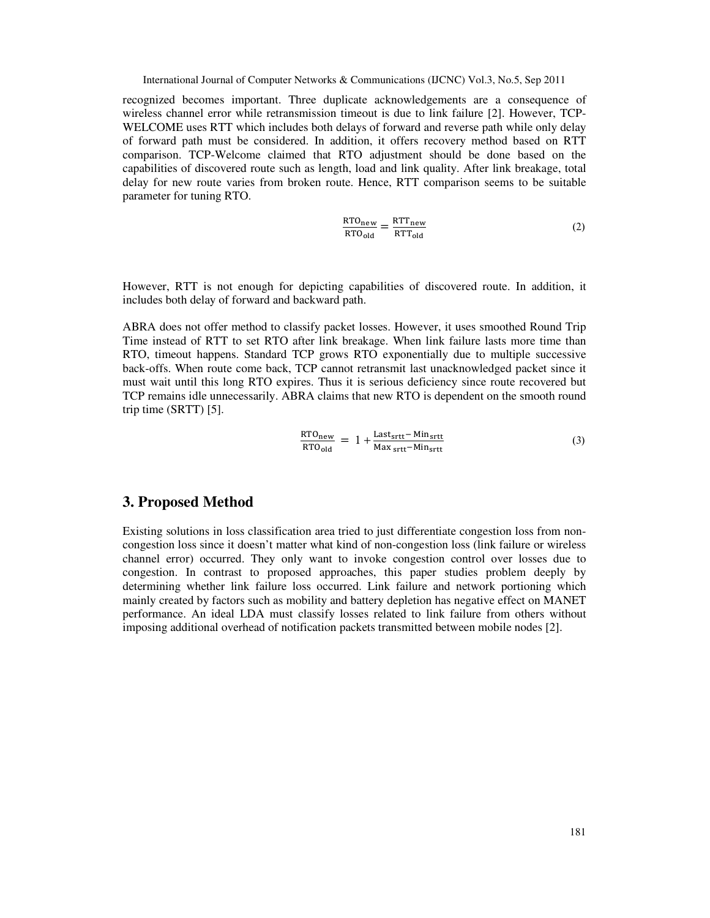recognized becomes important. Three duplicate acknowledgements are a consequence of wireless channel error while retransmission timeout is due to link failure [2]. However, TCP-WELCOME uses RTT which includes both delays of forward and reverse path while only delay of forward path must be considered. In addition, it offers recovery method based on RTT comparison. TCP-Welcome claimed that RTO adjustment should be done based on the capabilities of discovered route such as length, load and link quality. After link breakage, total delay for new route varies from broken route. Hence, RTT comparison seems to be suitable parameter for tuning RTO.

$$
\frac{\text{RTO}_{\text{new}}}{\text{RTO}_{\text{old}}} = \frac{\text{RTT}_{\text{new}}}{\text{RTT}_{\text{old}}}
$$
(2)

However, RTT is not enough for depicting capabilities of discovered route. In addition, it includes both delay of forward and backward path.

ABRA does not offer method to classify packet losses. However, it uses smoothed Round Trip Time instead of RTT to set RTO after link breakage. When link failure lasts more time than RTO, timeout happens. Standard TCP grows RTO exponentially due to multiple successive back-offs. When route come back, TCP cannot retransmit last unacknowledged packet since it must wait until this long RTO expires. Thus it is serious deficiency since route recovered but TCP remains idle unnecessarily. ABRA claims that new RTO is dependent on the smooth round trip time (SRTT) [5].

$$
\frac{\text{RTO}_{\text{new}}}{\text{RTO}_{\text{old}}} = 1 + \frac{\text{Last}_{\text{srtt}} - \text{Min}_{\text{srtt}}}{\text{Max}_{\text{srtt}} - \text{Min}_{\text{srtt}}} \tag{3}
$$

# **3. Proposed Method**

Existing solutions in loss classification area tried to just differentiate congestion loss from noncongestion loss since it doesn't matter what kind of non-congestion loss (link failure or wireless channel error) occurred. They only want to invoke congestion control over losses due to congestion. In contrast to proposed approaches, this paper studies problem deeply by determining whether link failure loss occurred. Link failure and network portioning which mainly created by factors such as mobility and battery depletion has negative effect on MANET performance. An ideal LDA must classify losses related to link failure from others without imposing additional overhead of notification packets transmitted between mobile nodes [2].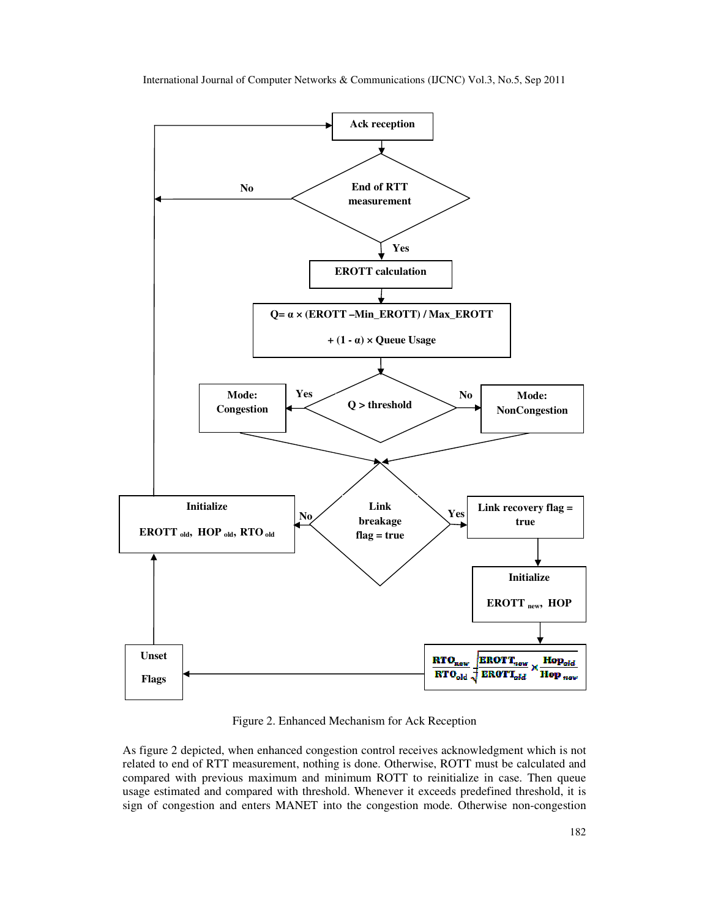

Figure 2. Enhanced Mechanism for Ack Reception

As figure 2 depicted, when enhanced congestion control receives acknowledgment which is not related to end of RTT measurement, nothing is done. Otherwise, ROTT must be calculated and compared with previous maximum and minimum ROTT to reinitialize in case. Then queue usage estimated and compared with threshold. Whenever it exceeds predefined threshold, it is sign of congestion and enters MANET into the congestion mode. Otherwise non-congestion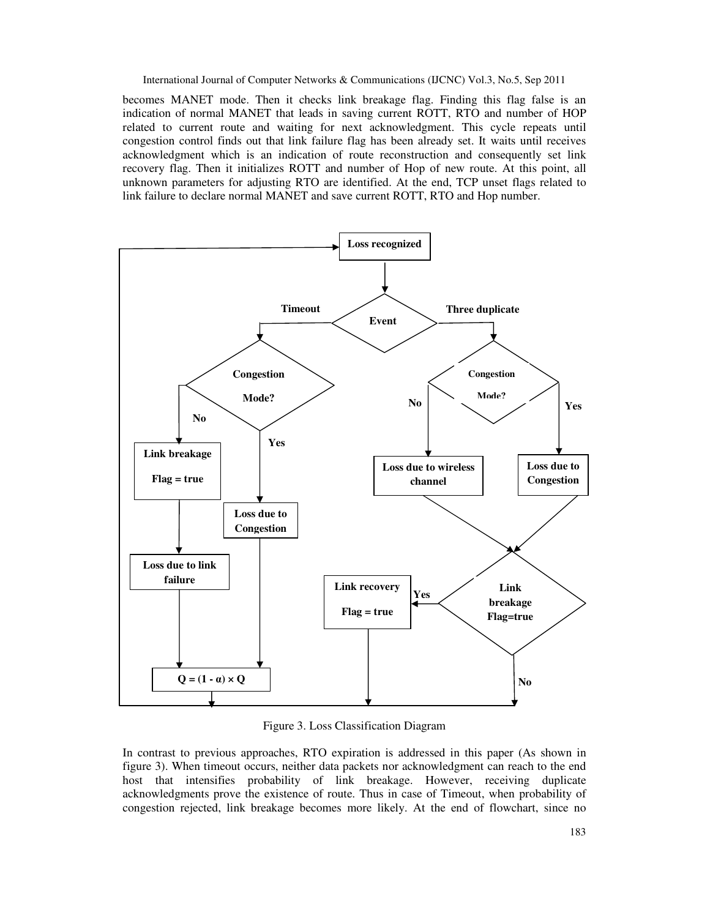becomes MANET mode. Then it checks link breakage flag. Finding this flag false is an indication of normal MANET that leads in saving current ROTT, RTO and number of HOP related to current route and waiting for next acknowledgment. This cycle repeats until congestion control finds out that link failure flag has been already set. It waits until receives acknowledgment which is an indication of route reconstruction and consequently set link recovery flag. Then it initializes ROTT and number of Hop of new route. At this point, all unknown parameters for adjusting RTO are identified. At the end, TCP unset flags related to link failure to declare normal MANET and save current ROTT, RTO and Hop number.



Figure 3. Loss Classification Diagram

In contrast to previous approaches, RTO expiration is addressed in this paper (As shown in figure 3). When timeout occurs, neither data packets nor acknowledgment can reach to the end host that intensifies probability of link breakage. However, receiving duplicate acknowledgments prove the existence of route. Thus in case of Timeout, when probability of congestion rejected, link breakage becomes more likely. At the end of flowchart, since no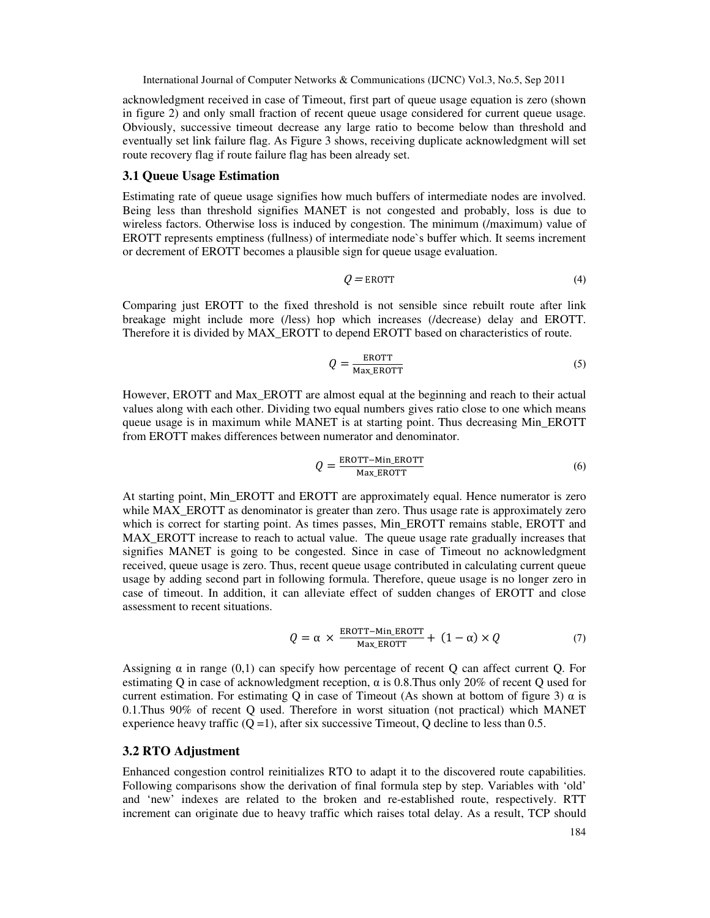acknowledgment received in case of Timeout, first part of queue usage equation is zero (shown in figure 2) and only small fraction of recent queue usage considered for current queue usage. Obviously, successive timeout decrease any large ratio to become below than threshold and eventually set link failure flag. As Figure 3 shows, receiving duplicate acknowledgment will set route recovery flag if route failure flag has been already set.

#### **3.1 Queue Usage Estimation**

Estimating rate of queue usage signifies how much buffers of intermediate nodes are involved. Being less than threshold signifies MANET is not congested and probably, loss is due to wireless factors. Otherwise loss is induced by congestion. The minimum (/maximum) value of EROTT represents emptiness (fullness) of intermediate node`s buffer which. It seems increment or decrement of EROTT becomes a plausible sign for queue usage evaluation.

$$
Q = \text{EROTT} \tag{4}
$$

Comparing just EROTT to the fixed threshold is not sensible since rebuilt route after link breakage might include more (/less) hop which increases (/decrease) delay and EROTT. Therefore it is divided by MAX\_EROTT to depend EROTT based on characteristics of route.

$$
Q = \frac{\text{EROTT}}{\text{Max\_EROTT}}\tag{5}
$$

However, EROTT and Max\_EROTT are almost equal at the beginning and reach to their actual values along with each other. Dividing two equal numbers gives ratio close to one which means queue usage is in maximum while MANET is at starting point. Thus decreasing Min\_EROTT from EROTT makes differences between numerator and denominator.

$$
Q = \frac{\text{EROTT} - \text{Min\_EROTT}}{\text{Max\_EROTT}}\tag{6}
$$

At starting point, Min\_EROTT and EROTT are approximately equal. Hence numerator is zero while MAX\_EROTT as denominator is greater than zero. Thus usage rate is approximately zero which is correct for starting point. As times passes, Min\_EROTT remains stable, EROTT and MAX\_EROTT increase to reach to actual value. The queue usage rate gradually increases that signifies MANET is going to be congested. Since in case of Timeout no acknowledgment received, queue usage is zero. Thus, recent queue usage contributed in calculating current queue usage by adding second part in following formula. Therefore, queue usage is no longer zero in case of timeout. In addition, it can alleviate effect of sudden changes of EROTT and close assessment to recent situations.

$$
Q = \alpha \times \frac{\text{EROTT-Min\_EROTT}}{\text{Max\_EROTT}} + (1 - \alpha) \times Q \tag{7}
$$

Assigning  $\alpha$  in range (0,1) can specify how percentage of recent Q can affect current Q. For estimating Q in case of acknowledgment reception,  $\alpha$  is 0.8. Thus only 20% of recent Q used for current estimation. For estimating Q in case of Timeout (As shown at bottom of figure 3)  $\alpha$  is 0.1.Thus 90% of recent Q used. Therefore in worst situation (not practical) which MANET experience heavy traffic  $(Q = 1)$ , after six successive Timeout, Q decline to less than 0.5.

#### **3.2 RTO Adjustment**

Enhanced congestion control reinitializes RTO to adapt it to the discovered route capabilities. Following comparisons show the derivation of final formula step by step. Variables with 'old' and 'new' indexes are related to the broken and re-established route, respectively. RTT increment can originate due to heavy traffic which raises total delay. As a result, TCP should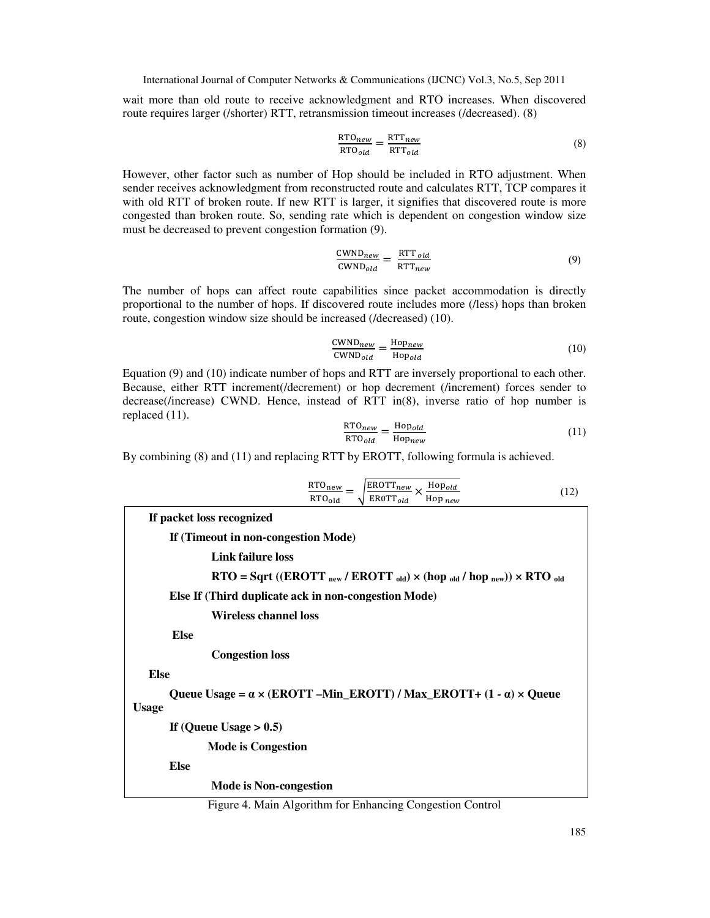wait more than old route to receive acknowledgment and RTO increases. When discovered route requires larger (/shorter) RTT, retransmission timeout increases (/decreased). (8)

$$
\frac{\text{RTO}_{new}}{\text{RTO}_{old}} = \frac{\text{RTT}_{new}}{\text{RTT}_{old}}
$$
\n(8)

However, other factor such as number of Hop should be included in RTO adjustment. When sender receives acknowledgment from reconstructed route and calculates RTT, TCP compares it with old RTT of broken route. If new RTT is larger, it signifies that discovered route is more congested than broken route. So, sending rate which is dependent on congestion window size must be decreased to prevent congestion formation (9).

$$
\frac{\text{CWND}_{new}}{\text{CWND}_{old}} = \frac{\text{RTT}_{old}}{\text{RTT}_{new}}
$$
(9)

The number of hops can affect route capabilities since packet accommodation is directly proportional to the number of hops. If discovered route includes more (/less) hops than broken route, congestion window size should be increased (/decreased) (10).

$$
\frac{\text{CWND}_{new}}{\text{CWND}_{old}} = \frac{\text{Hopnew}}{\text{Hopold}} \tag{10}
$$

Equation (9) and (10) indicate number of hops and RTT are inversely proportional to each other. Because, either RTT increment(/decrement) or hop decrement (/increment) forces sender to decrease(/increase) CWND. Hence, instead of RTT in(8), inverse ratio of hop number is replaced (11).

$$
\frac{\text{RTO}_{new}}{\text{RTO}_{old}} = \frac{\text{Hop}_{old}}{\text{Hop}_{new}}\tag{11}
$$

By combining (8) and (11) and replacing RTT by EROTT, following formula is achieved.

| $\sqrt{\frac{\text{EROTT}_{new}}{\text{EROTT}_{old}}} \times \frac{\text{Hopold}}{\text{Hopnew}}$<br>$\frac{\text{RTO}_{\text{new}}}{\text{RTO}_{\text{old}}} =$<br>(12) |
|--------------------------------------------------------------------------------------------------------------------------------------------------------------------------|
| If packet loss recognized                                                                                                                                                |
| If (Timeout in non-congestion Mode)                                                                                                                                      |
| Link failure loss                                                                                                                                                        |
| $\text{RTO} = \text{Sqrt ((EROTT}_{new} / \text{EROTT}_{old}) \times \text{(hop}_{old} / \text{ hop}_{new})) \times \text{RTO}_{old}$                                    |
| Else If (Third duplicate ack in non-congestion Mode)                                                                                                                     |
| Wireless channel loss                                                                                                                                                    |
| <b>Else</b>                                                                                                                                                              |
| <b>Congestion loss</b>                                                                                                                                                   |
| <b>Else</b>                                                                                                                                                              |
| Queue Usage = $\alpha \times (EROTT - Min\_EROTT) / Max\_EROTT + (1 - \alpha) \times Queue$<br><b>Usage</b>                                                              |
| If (Queue Usage $> 0.5$ )                                                                                                                                                |
| <b>Mode is Congestion</b>                                                                                                                                                |
| <b>Else</b>                                                                                                                                                              |
| <b>Mode is Non-congestion</b>                                                                                                                                            |

Figure 4. Main Algorithm for Enhancing Congestion Control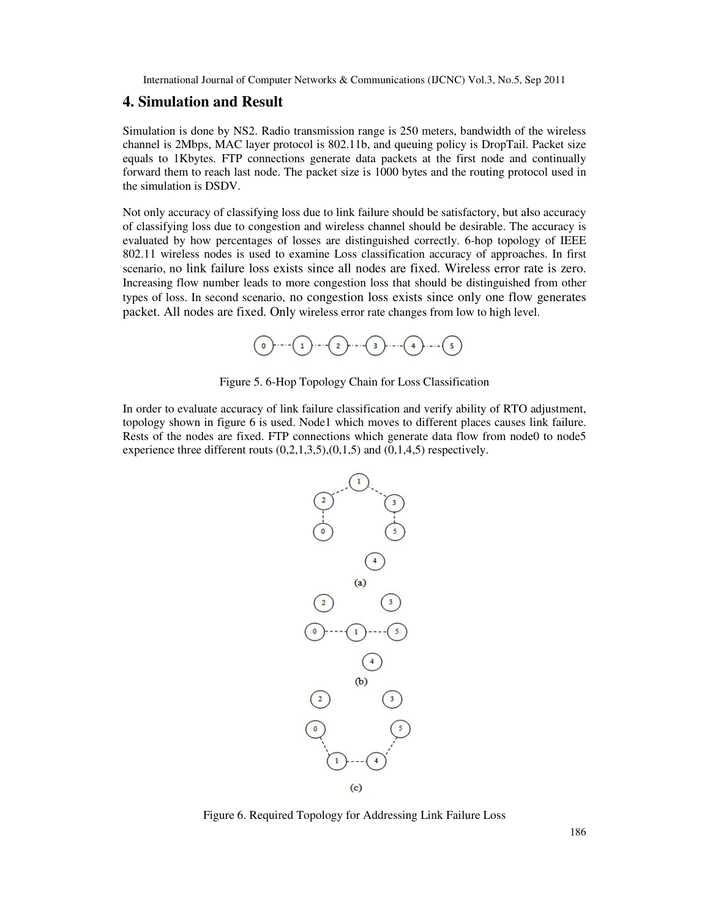## **4. Simulation and Result**

Simulation is done by NS2. Radio transmission range is 250 meters, bandwidth of the wireless channel is 2Mbps, MAC layer protocol is 802.11b, and queuing policy is DropTail. Packet size equals to 1Kbytes. FTP connections generate data packets at the first node and continually Simulation is done by NS2. Radio transmission range is 250 meters, bandwidth of the wireless channel is 2Mbps, MAC layer protocol is 802.11b, and queuing policy is DropTail. Packet size equals to 1Kbytes. FTP connections g the simulation is DSDV.

Not only accuracy of classifying loss due to link failure should be satisfactory, but also accuracy of classifying loss due to congestion and wireless channel should be desirable. The accuracy is Not only accuracy of classifying loss due to link failure should be satisfactory, but also accuracy of classifying loss due to congestion and wireless channel should be desirable. The accuracy is evaluated by how percentag 802.11 wireless nodes is used to examine Loss classification accuracy of approaches scenario, no link failure loss exists since all nodes are fixed. Wireless error rate is zero. Increasing flow number leads to more congestion loss that should be distinguished from other types of loss. In second scenario, no congestion loss exists since only one flow generates packet. All nodes are fixed. Only wireless error rate changes from low to high level. International obtained Conquest Neworks & Communications (DCNC) Vol.3, No.5, Sep 2011<br>
International of Conquest Neworks & Communications (DCNC) Vol.3, No.5, Sep 2011<br>
Internation is obtained NSP (Mark Line presencte data MAC layer protocol is 802.11b, and queuing policy is DropTail. Packet size<br>FTP connections generate data packets at the first node and continually<br>ach last node. The packet size is 1000 bytes and the routing protocol used

Figure 5. 6-Hop Topology Chain for Loss Classification

Figure 5. 6-Hop Topology Chain for Loss Classification<br>In order to evaluate accuracy of link failure classification and verify ability of RTO adjustment, topology shown in figure 6 is used. Node1 which moves to different places causes link failure. Rests of the nodes are fixed. FTP connections which generate data flow from node0 to node5 experience three different routs  $(0,2,1,3,5)$ , $(0,1,5)$  and  $(0,1,4,5)$  respectively.



Figure 6. Required Required Topology for Addressing Link Failure Loss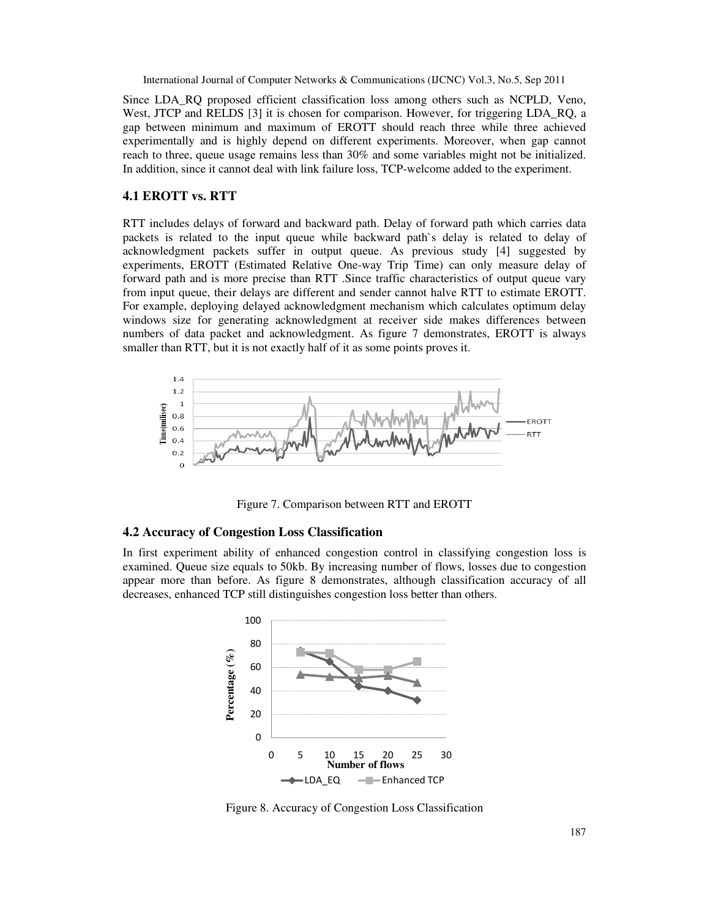Since LDA\_RQ proposed efficient classification loss among others such as NCPLD, Veno, Since LDA\_RQ proposed efficient classification loss among others such as NCPLD, Veno, West, JTCP and RELDS [3] it is chosen for comparison. However, for triggering LDA\_RQ, a gap between minimum and maximum of EROTT should reach three while three achieved experimentally and is highly depend on different experiments. Moreover, when gap cannot reach to three, queue usage remains less than 30% and some variables might not be initialized. In addition, since it cannot deal with link failure loss, TCP-welcome added to the experiment.

#### **4.1 EROTT vs. RTT**

RTT includes delays of forward and backward path. Delay of forward path which carries data RTT includes delays of forward and backward path. Delay of forward path which carries data packets is related to the input queue while backward path`s delay is related to delay of acknowledgment packets suffer in output queue. As previous study [4] suggested by experiments, EROTT (Estimated Relative One-way Trip Time) can only measure delay of forward path and is more precise than RTT .Since traffic characteristics of output queue vary from input queue, their delays are different and sender cannot halve RTT to estimate EROTT. For example, deploying delayed acknowledgment mechanism which calculates optimum delay windows size for generating acknowledgment at receiver side makes differences between numbers of data packet and acknowledgment. As figure 7 demonstrates, EROTT is always smaller than RTT, but it is not exactly half of it as some points proves it. eploying delayed acknowledgment mechanism which calculates optimum delay<br>for generating acknowledgment at receiver side makes differences between<br>ta packet and acknowledgment. As figure 7 demonstrates, EROTT is always International of Conguer Secrets & Communication (IDNO) Void, No.5, Sp.2011<br>
In EDA, RO proposed efficient eleasibilitation has among others such as NYPLD, Voio,<br>
I. TCP and REDAS [3] it is chosen for communication , thos RTT includes delays of forward and backward path. Delay of forward path which carries data<br>acknowledgment packets surfier in output queue. As previous study [4] suggested by<br>experiments. EROTT (Estimated Relative One-way



Figure 7. Comparison between RTT and EROTT

#### **4.2 Accuracy of Congestion Loss Classification**

In first experiment ability of enhanced congestion control in classifying congestion loss is examined. Queue size equals to 50kb. By increasing number of flows, losses due to congestion examined. Queue size equals to 50kb. By increasing number of flows, losses due to congestion appear more than before. As figure 8 demonstrates, although classification accuracy of all decreases, enhanced TCP still distinguishes congestion loss better than others. t ability of enhanced congestion control in classifying congestion loss is<br>ize equals to 50kb. By increasing number of flows, losses due to congestio<br>before. As figure 8 demonstrates, although classification accuracy of a



Figure 8. Accuracy of Congestion Loss Classification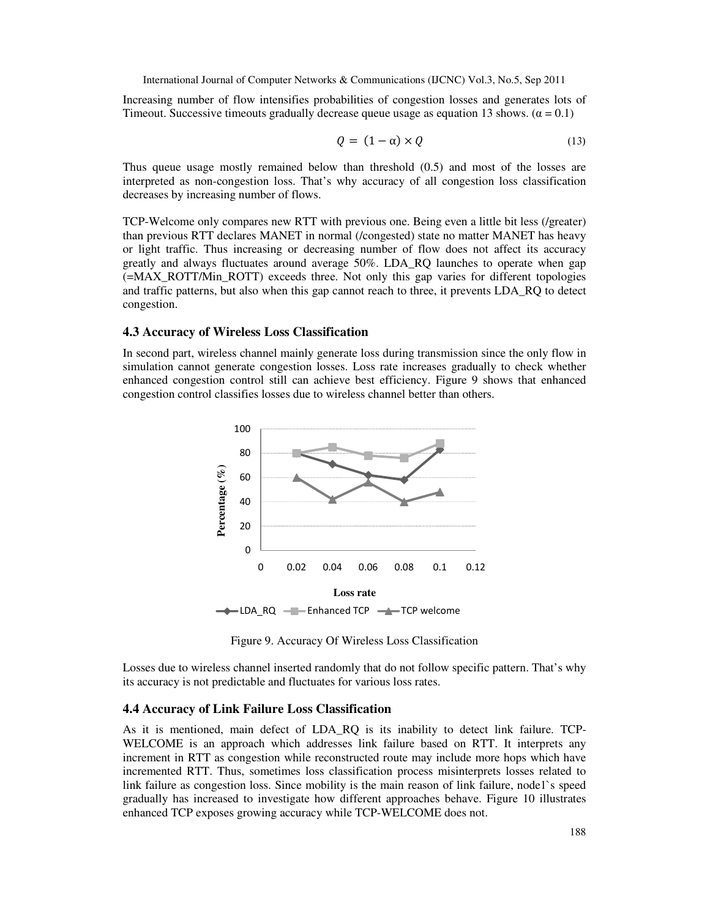Increasing number of flow intensifies probabilities of congestion losses and generates lots of Timeout. Successive timeouts gradually decrease queue usage as equation 13 shows. ( $\alpha = 0.1$ )

$$
Q = (1 - \alpha) \times Q \tag{13}
$$

Thus queue usage mostly remained below than threshold (0.5) and most of the losses are interpreted as non-congestion loss. That's why accuracy of all congestion loss classification decreases by increasing number of flows.

TCP-Welcome only compares new RTT with previous one. Being even a little bit less (/greater) than previous RTT declares MANET in normal (/congested) state no matter MANET has heavy or light traffic. Thus increasing or decreasing number of flow does not affect its accuracy greatly and always fluctuates around average 50%. LDA\_RQ launches to operate when gap (=MAX\_ROTT/Min\_ROTT) exceeds three. Not only this gap varies for different topologies and traffic patterns, but also when this gap cannot reach to three, it prevents LDA\_RQ to detect congestion.

#### **4.3 Accuracy of Wireless Loss Classification**

In second part, wireless channel mainly generate loss during transmission since the only flow in simulation cannot generate congestion losses. Loss rate increases gradually to check whether enhanced congestion control still can achieve best efficiency. Figure 9 shows that enhanced congestion control classifies losses due to wireless channel better than others.



Figure 9. Accuracy Of Wireless Loss Classification

Losses due to wireless channel inserted randomly that do not follow specific pattern. That's why its accuracy is not predictable and fluctuates for various loss rates.

#### **4.4 Accuracy of Link Failure Loss Classification**

As it is mentioned, main defect of LDA\_RQ is its inability to detect link failure. TCP-WELCOME is an approach which addresses link failure based on RTT. It interprets any increment in RTT as congestion while reconstructed route may include more hops which have incremented RTT. Thus, sometimes loss classification process misinterprets losses related to link failure as congestion loss. Since mobility is the main reason of link failure, node1`s speed gradually has increased to investigate how different approaches behave. Figure 10 illustrates enhanced TCP exposes growing accuracy while TCP-WELCOME does not.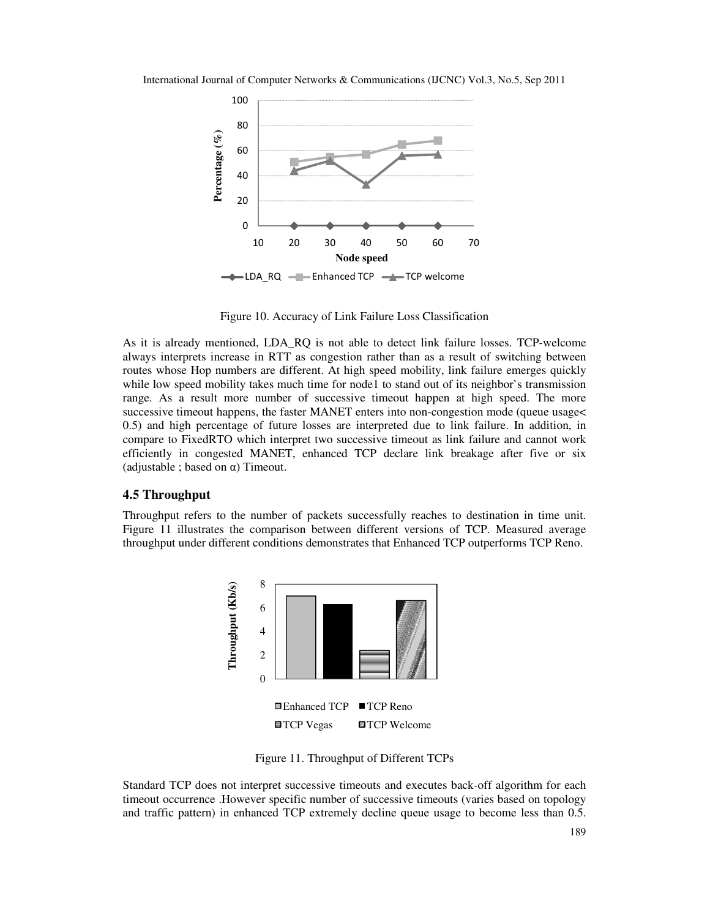

Figure 10. Accuracy of Link Failure Loss Classification

As it is already mentioned, LDA\_RQ is not able to detect link failure losses. TCP-welcome always interprets increase in RTT as congestion rather than as a result of switching between routes whose Hop numbers are different. At high speed mobility, link failure emerges quickly while low speed mobility takes much time for node1 to stand out of its neighbor's transmission range. As a result more number of successive timeout happen at high speed. The more successive timeout happens, the faster MANET enters into non-congestion mode (queue usage< 0.5) and high percentage of future losses are interpreted due to link failure. In addition, in compare to FixedRTO which interpret two successive timeout as link failure and cannot work efficiently in congested MANET, enhanced TCP declare link breakage after five or six (adjustable ; based on  $\alpha$ ) Timeout.

#### **4.5 Throughput**

Throughput refers to the number of packets successfully reaches to destination in time unit. Figure 11 illustrates the comparison between different versions of TCP. Measured average throughput under different conditions demonstrates that Enhanced TCP outperforms TCP Reno.



Figure 11. Throughput of Different TCPs

Standard TCP does not interpret successive timeouts and executes back-off algorithm for each timeout occurrence .However specific number of successive timeouts (varies based on topology and traffic pattern) in enhanced TCP extremely decline queue usage to become less than 0.5.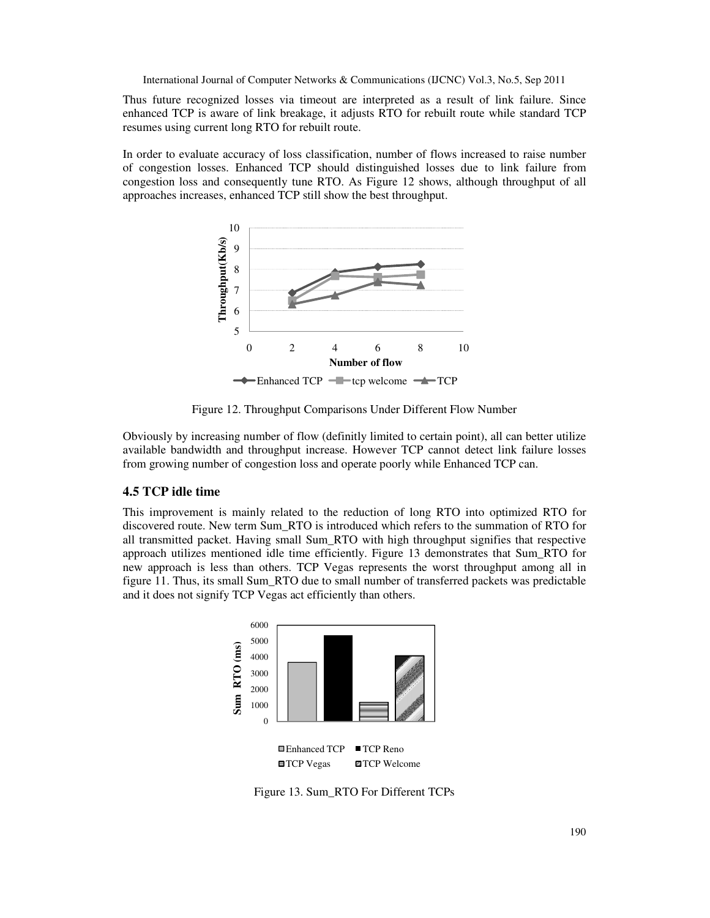Thus future recognized losses via timeout are interpreted as a result of link failure. Since enhanced TCP is aware of link breakage, it adjusts RTO for rebuilt route while standard TCP resumes using current long RTO for rebuilt route.

In order to evaluate accuracy of loss classification, number of flows increased to raise number of congestion losses. Enhanced TCP should distinguished losses due to link failure from congestion loss and consequently tune RTO. As Figure 12 shows, although throughput of all approaches increases, enhanced TCP still show the best throughput.



Figure 12. Throughput Comparisons Under Different Flow Number

Obviously by increasing number of flow (definitly limited to certain point), all can better utilize available bandwidth and throughput increase. However TCP cannot detect link failure losses from growing number of congestion loss and operate poorly while Enhanced TCP can.

# **4.5 TCP idle time**

This improvement is mainly related to the reduction of long RTO into optimized RTO for discovered route. New term Sum\_RTO is introduced which refers to the summation of RTO for all transmitted packet. Having small Sum\_RTO with high throughput signifies that respective approach utilizes mentioned idle time efficiently. Figure 13 demonstrates that Sum\_RTO for new approach is less than others. TCP Vegas represents the worst throughput among all in figure 11. Thus, its small Sum\_RTO due to small number of transferred packets was predictable and it does not signify TCP Vegas act efficiently than others.



Figure 13. Sum\_RTO For Different TCPs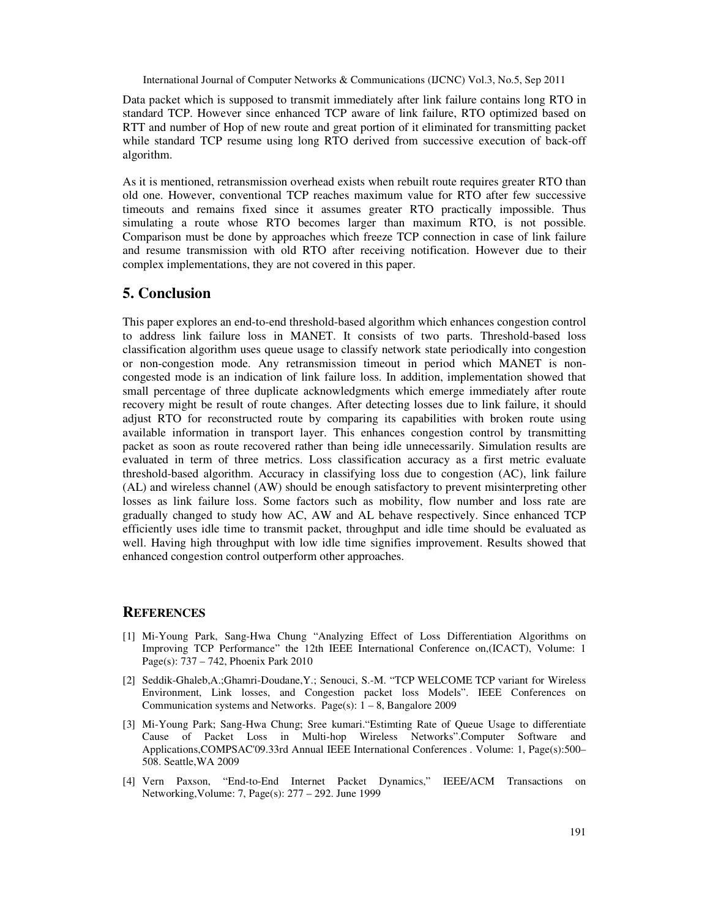Data packet which is supposed to transmit immediately after link failure contains long RTO in standard TCP. However since enhanced TCP aware of link failure, RTO optimized based on RTT and number of Hop of new route and great portion of it eliminated for transmitting packet while standard TCP resume using long RTO derived from successive execution of back-off algorithm.

As it is mentioned, retransmission overhead exists when rebuilt route requires greater RTO than old one. However, conventional TCP reaches maximum value for RTO after few successive timeouts and remains fixed since it assumes greater RTO practically impossible. Thus simulating a route whose RTO becomes larger than maximum RTO, is not possible. Comparison must be done by approaches which freeze TCP connection in case of link failure and resume transmission with old RTO after receiving notification. However due to their complex implementations, they are not covered in this paper.

# **5. Conclusion**

This paper explores an end-to-end threshold-based algorithm which enhances congestion control to address link failure loss in MANET. It consists of two parts. Threshold-based loss classification algorithm uses queue usage to classify network state periodically into congestion or non-congestion mode. Any retransmission timeout in period which MANET is noncongested mode is an indication of link failure loss. In addition, implementation showed that small percentage of three duplicate acknowledgments which emerge immediately after route recovery might be result of route changes. After detecting losses due to link failure, it should adjust RTO for reconstructed route by comparing its capabilities with broken route using available information in transport layer. This enhances congestion control by transmitting packet as soon as route recovered rather than being idle unnecessarily. Simulation results are evaluated in term of three metrics. Loss classification accuracy as a first metric evaluate threshold-based algorithm. Accuracy in classifying loss due to congestion (AC), link failure (AL) and wireless channel (AW) should be enough satisfactory to prevent misinterpreting other losses as link failure loss. Some factors such as mobility, flow number and loss rate are gradually changed to study how AC, AW and AL behave respectively. Since enhanced TCP efficiently uses idle time to transmit packet, throughput and idle time should be evaluated as well. Having high throughput with low idle time signifies improvement. Results showed that enhanced congestion control outperform other approaches.

#### **REFERENCES**

- [1] Mi-Young Park, Sang-Hwa Chung "Analyzing Effect of Loss Differentiation Algorithms on Improving TCP Performance" the 12th IEEE International Conference on,(ICACT), Volume: 1 Page(s): 737 – 742, Phoenix Park 2010
- [2] Seddik-Ghaleb,A.;Ghamri-Doudane,Y.; Senouci, S.-M. "TCP WELCOME TCP variant for Wireless Environment, Link losses, and Congestion packet loss Models". IEEE Conferences on Communication systems and Networks. Page(s):  $1 - 8$ , Bangalore 2009
- [3] Mi-Young Park; Sang-Hwa Chung; Sree kumari."Estimting Rate of Queue Usage to differentiate Cause of Packet Loss in Multi-hop Wireless Networks".Computer Software and Applications,COMPSAC'09.33rd Annual IEEE International Conferences . Volume: 1, Page(s):500– 508. Seattle,WA 2009
- [4] Vern Paxson, "End-to-End Internet Packet Dynamics," IEEE/ACM Transactions on Networking,Volume: 7, Page(s): 277 – 292. June 1999